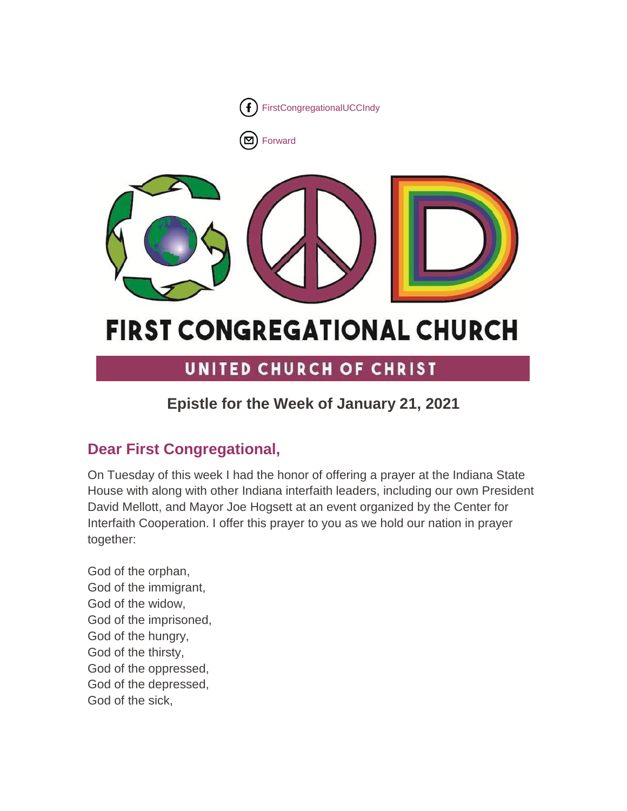

 $\left( \mathbf{\Sigma}\right)$  [Forward](http://us16.forward-to-friend.com/forward?u=7a2e4c501545b6d78729a64a1&id=67a3158370&e=%5bUNIQID%5d)



# **FIRST CONGREGATIONAL CHURCH**

# UNITED CHURCH OF CHRIST

# **Epistle for the Week of January 21, 2021**

# **Dear First Congregational,**

On Tuesday of this week I had the honor of offering a prayer at the Indiana State House with along with other Indiana interfaith leaders, including our own President David Mellott, and Mayor Joe Hogsett at an event organized by the Center for Interfaith Cooperation. I offer this prayer to you as we hold our nation in prayer together:

God of the orphan, God of the immigrant, God of the widow, God of the imprisoned, God of the hungry, God of the thirsty, God of the oppressed, God of the depressed, God of the sick,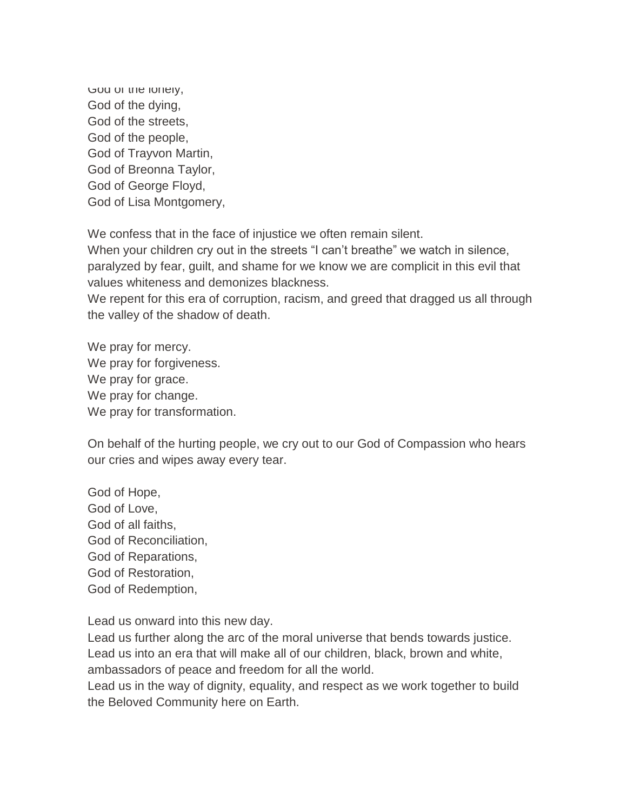God of the lonely, God of the dying, God of the streets, God of the people, God of Trayvon Martin, God of Breonna Taylor, God of George Floyd, God of Lisa Montgomery,

We confess that in the face of injustice we often remain silent.

When your children cry out in the streets "I can't breathe" we watch in silence, paralyzed by fear, guilt, and shame for we know we are complicit in this evil that values whiteness and demonizes blackness.

We repent for this era of corruption, racism, and greed that dragged us all through the valley of the shadow of death.

We pray for mercy. We pray for forgiveness. We pray for grace. We pray for change. We pray for transformation.

On behalf of the hurting people, we cry out to our God of Compassion who hears our cries and wipes away every tear.

God of Hope, God of Love, God of all faiths, God of Reconciliation, God of Reparations, God of Restoration, God of Redemption,

Lead us onward into this new day.

Lead us further along the arc of the moral universe that bends towards justice. Lead us into an era that will make all of our children, black, brown and white, ambassadors of peace and freedom for all the world.

Lead us in the way of dignity, equality, and respect as we work together to build the Beloved Community here on Earth.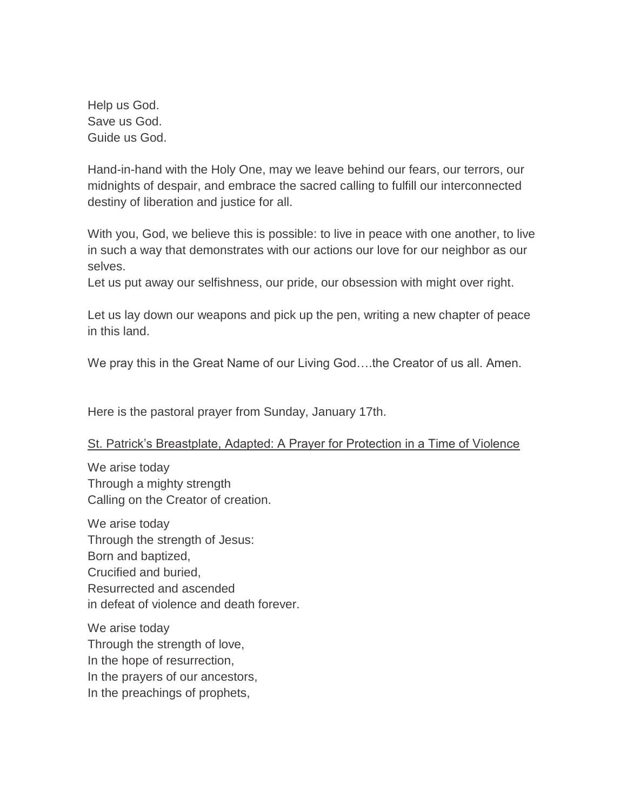Help us God. Save us God. Guide us God.

Hand-in-hand with the Holy One, may we leave behind our fears, our terrors, our midnights of despair, and embrace the sacred calling to fulfill our interconnected destiny of liberation and justice for all.

With you, God, we believe this is possible: to live in peace with one another, to live in such a way that demonstrates with our actions our love for our neighbor as our selves.

Let us put away our selfishness, our pride, our obsession with might over right.

Let us lay down our weapons and pick up the pen, writing a new chapter of peace in this land.

We pray this in the Great Name of our Living God….the Creator of us all. Amen.

Here is the pastoral prayer from Sunday, January 17th.

#### St. Patrick's Breastplate, Adapted: A Prayer for Protection in a Time of Violence

We arise today Through a mighty strength Calling on the Creator of creation.

We arise today Through the strength of Jesus: Born and baptized, Crucified and buried, Resurrected and ascended in defeat of violence and death forever.

We arise today Through the strength of love, In the hope of resurrection, In the prayers of our ancestors, In the preachings of prophets,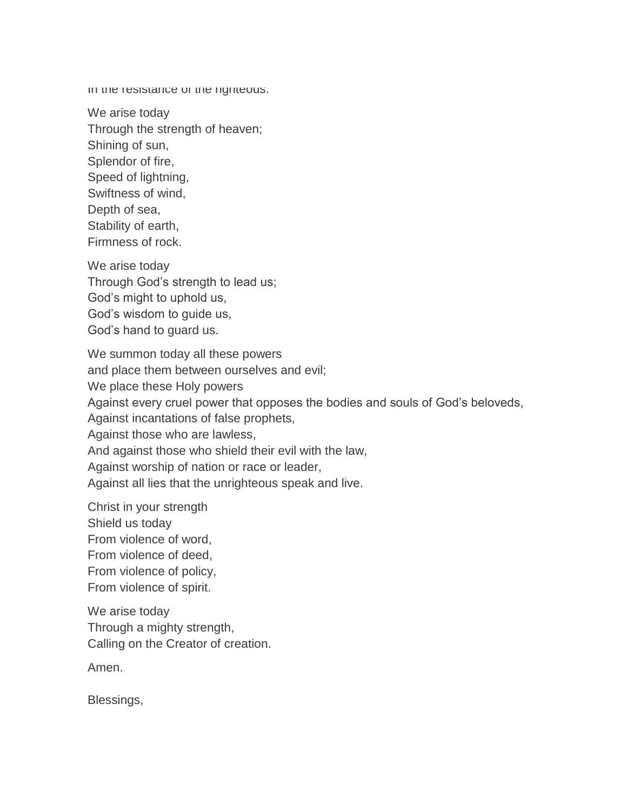In the resistance of the righteous.

We arise today Through the strength of heaven; Shining of sun, Splendor of fire, Speed of lightning, Swiftness of wind, Depth of sea, Stability of earth, Firmness of rock.

We arise today Through God's strength to lead us; God's might to uphold us, God's wisdom to guide us, God's hand to guard us.

We summon today all these powers and place them between ourselves and evil; We place these Holy powers Against every cruel power that opposes the bodies and souls of God's beloveds, Against incantations of false prophets, Against those who are lawless, And against those who shield their evil with the law, Against worship of nation or race or leader, Against all lies that the unrighteous speak and live.

Christ in your strength Shield us today From violence of word, From violence of deed, From violence of policy, From violence of spirit.

We arise today Through a mighty strength, Calling on the Creator of creation.

Amen.

Blessings,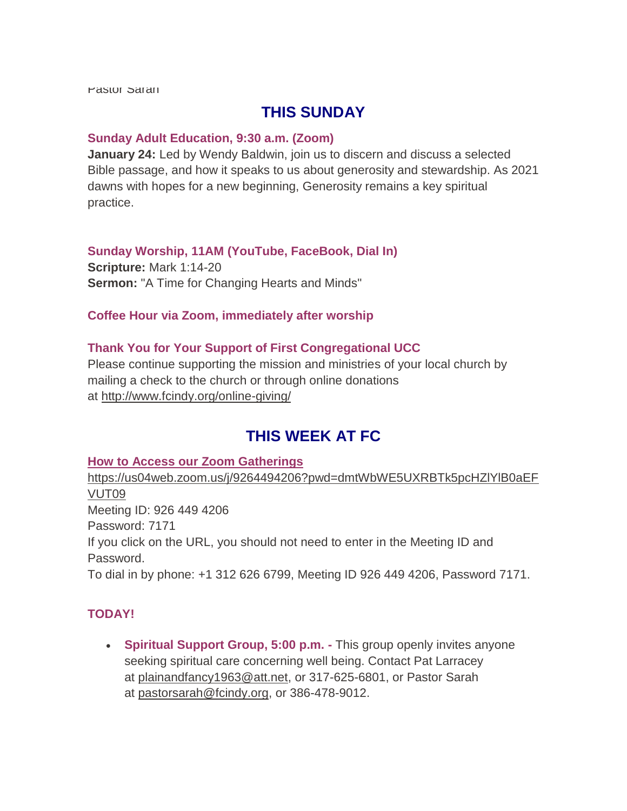Pastor Sarah

# **THIS SUNDAY**

#### **Sunday Adult Education, 9:30 a.m. (Zoom)**

**January 24:** Led by Wendy Baldwin, join us to discern and discuss a selected Bible passage, and how it speaks to us about generosity and stewardship. As 2021 dawns with hopes for a new beginning, Generosity remains a key spiritual practice.

#### **Sunday Worship, 11AM (YouTube, FaceBook, Dial In) Scripture:** Mark 1:14-20

**Sermon:** "A Time for Changing Hearts and Minds"

#### **Coffee Hour via Zoom, immediately after worship**

#### **Thank You for Your Support of First Congregational UCC**

Please continue supporting the mission and ministries of your local church by mailing a check to the church or through online donations at <http://www.fcindy.org/online-giving/>

# **THIS WEEK AT FC**

#### **How to Access our Zoom Gatherings**

[https://us04web.zoom.us/j/9264494206?pwd=dmtWbWE5UXRBTk5pcHZlYlB0aEF](https://us04web.zoom.us/j/9264494206?pwd=dmtWbWE5UXRBTk5pcHZlYlB0aEFVUT09) [VUT09](https://us04web.zoom.us/j/9264494206?pwd=dmtWbWE5UXRBTk5pcHZlYlB0aEFVUT09) Meeting ID: 926 449 4206 Password: 7171 If you click on the URL, you should not need to enter in the Meeting ID and Password. To dial in by phone: +1 312 626 6799, Meeting ID 926 449 4206, Password 7171.

#### **TODAY!**

 **Spiritual Support Group, 5:00 p.m. -** This group openly invites anyone seeking spiritual care concerning well being. Contact Pat Larracey at [plainandfancy1963@att.net,](mailto:plainandfancy1963@att.net) or 317-625-6801, or Pastor Sarah at [pastorsarah@fcindy.org,](mailto:pastorsarah@fcindy.org) or 386-478-9012.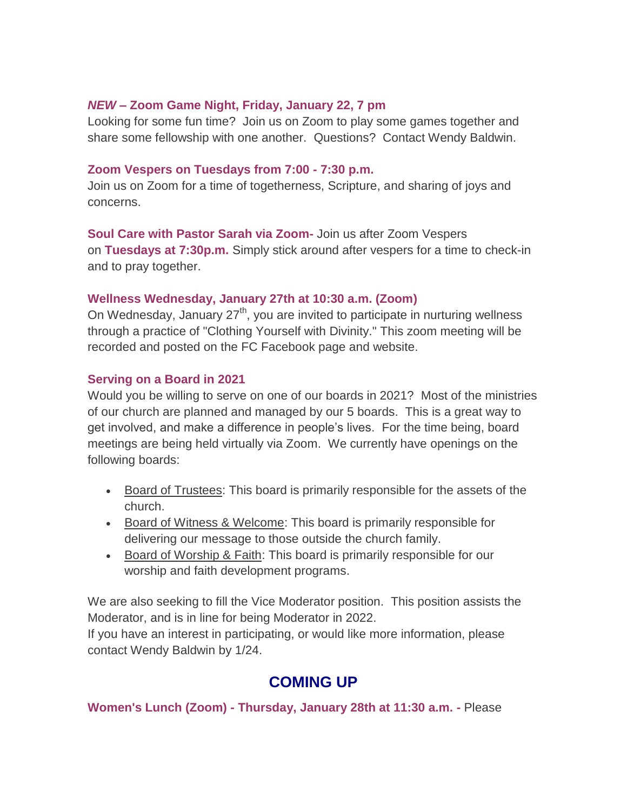#### *NEW* **– Zoom Game Night, Friday, January 22, 7 pm**

Looking for some fun time? Join us on Zoom to play some games together and share some fellowship with one another. Questions? Contact Wendy Baldwin.

#### **Zoom Vespers on Tuesdays from 7:00 - 7:30 p.m.**

Join us on Zoom for a time of togetherness, Scripture, and sharing of joys and concerns.

**Soul Care with Pastor Sarah via Zoom-** Join us after Zoom Vespers on **Tuesdays at 7:30p.m.** Simply stick around after vespers for a time to check-in and to pray together.

#### **Wellness Wednesday, January 27th at 10:30 a.m. (Zoom)**

On Wednesday, January  $27<sup>th</sup>$ , you are invited to participate in nurturing wellness through a practice of "Clothing Yourself with Divinity." This zoom meeting will be recorded and posted on the FC Facebook page and website.

#### **Serving on a Board in 2021**

Would you be willing to serve on one of our boards in 2021? Most of the ministries of our church are planned and managed by our 5 boards. This is a great way to get involved, and make a difference in people's lives. For the time being, board meetings are being held virtually via Zoom. We currently have openings on the following boards:

- Board of Trustees: This board is primarily responsible for the assets of the church.
- **Board of Witness & Welcome: This board is primarily responsible for** delivering our message to those outside the church family.
- Board of Worship & Faith: This board is primarily responsible for our worship and faith development programs.

We are also seeking to fill the Vice Moderator position. This position assists the Moderator, and is in line for being Moderator in 2022.

If you have an interest in participating, or would like more information, please contact Wendy Baldwin by 1/24.

# **COMING UP**

**Women's Lunch (Zoom) - Thursday, January 28th at 11:30 a.m. -** Please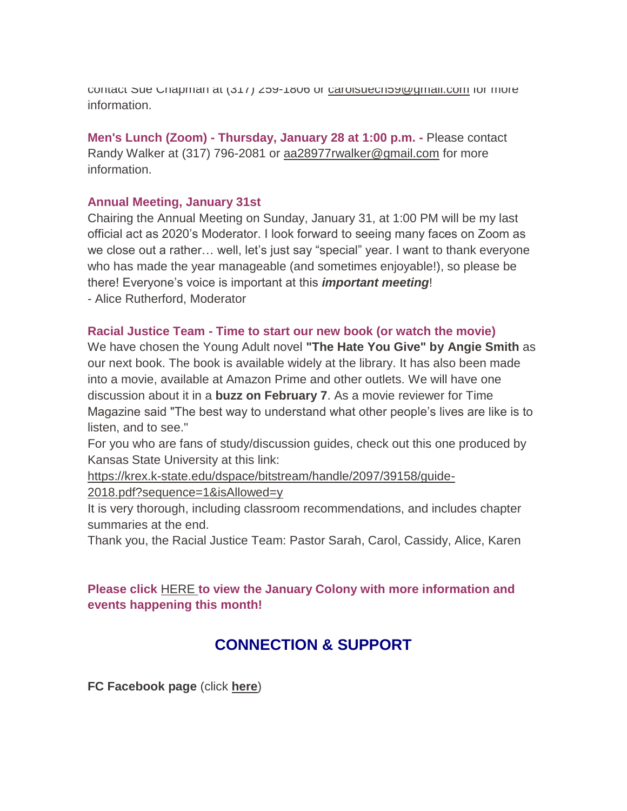contact Sue Chapman at (317) 259-1806 or [carolsuech59@gmail.com](mailto:carolsuech59@gmail.com) for more information.

**Men's Lunch (Zoom) - Thursday, January 28 at 1:00 p.m. -** Please contact Randy Walker at (317) 796-2081 or aa28977rwalker@gmail.com for more information.

#### **Annual Meeting, January 31st**

Chairing the Annual Meeting on Sunday, January 31, at 1:00 PM will be my last official act as 2020's Moderator. I look forward to seeing many faces on Zoom as we close out a rather… well, let's just say "special" year. I want to thank everyone who has made the year manageable (and sometimes enjoyable!), so please be there! Everyone's voice is important at this *important meeting*!

- Alice Rutherford, Moderator

#### **Racial Justice Team - Time to start our new book (or watch the movie)**

We have chosen the Young Adult novel **"The Hate You Give" by Angie Smith** as our next book. The book is available widely at the library. It has also been made into a movie, available at Amazon Prime and other outlets. We will have one discussion about it in a **buzz on February 7**. As a movie reviewer for Time Magazine said "The best way to understand what other people's lives are like is to listen, and to see."

For you who are fans of study/discussion guides, check out this one produced by Kansas State University at this link:

[https://krex.k-state.edu/dspace/bitstream/handle/2097/39158/guide-](https://krex.k-state.edu/dspace/bitstream/handle/2097/39158/guide-2018.pdf?sequence=1&isAllowed=y)

[2018.pdf?sequence=1&isAllowed=y](https://krex.k-state.edu/dspace/bitstream/handle/2097/39158/guide-2018.pdf?sequence=1&isAllowed=y)

It is very thorough, including classroom recommendations, and includes chapter summaries at the end.

Thank you, the Racial Justice Team: Pastor Sarah, Carol, Cassidy, Alice, Karen

#### **Please click** [HERE](https://mcusercontent.com/7a2e4c501545b6d78729a64a1/files/5d6c1642-d4df-452d-8ead-028d2af0d818/January_Colony_2021.01.pdf) **to view the January Colony with more information and events happening this month!**

# **CONNECTION & SUPPORT**

**FC Facebook page** (click **[here](https://www.facebook.com/FirstCongregationalUCCIndy/)**)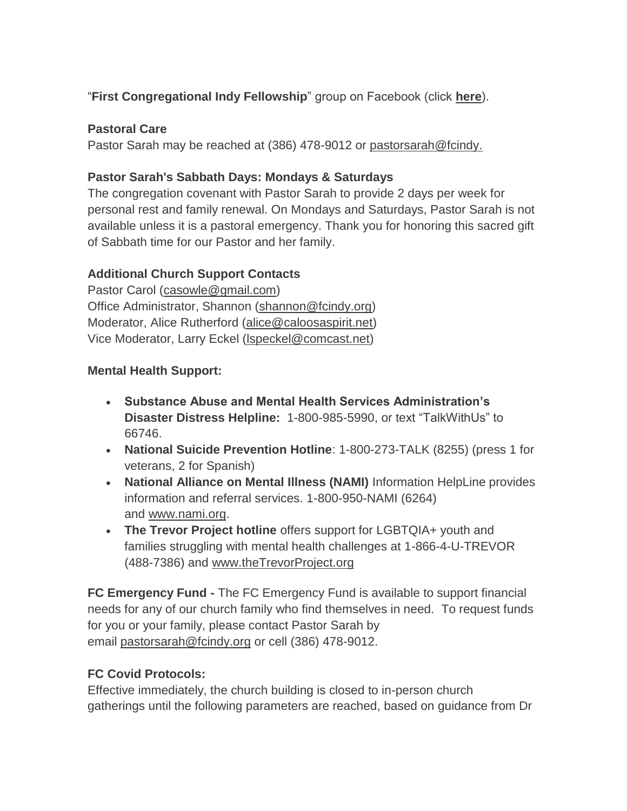## "**First Congregational Indy Fellowship**" group on Facebook (click **[here](https://www.facebook.com/groups/521333455186422/)**).

## **Pastoral Care**

Pastor Sarah may be reached at (386) 478-9012 or [pastorsarah@fcindy.](mailto:pastorsarah@fcindy.org)

#### **Pastor Sarah's Sabbath Days: Mondays & Saturdays**

The congregation covenant with Pastor Sarah to provide 2 days per week for personal rest and family renewal. On Mondays and Saturdays, Pastor Sarah is not available unless it is a pastoral emergency. Thank you for honoring this sacred gift of Sabbath time for our Pastor and her family.

## **Additional Church Support Contacts**

Pastor Carol [\(casowle@gmail.com\)](mailto:casowle@gmail.com) Office Administrator, Shannon [\(shannon@fcindy.org\)](mailto:shannon@fcindy.org) Moderator, Alice Rutherford [\(alice@caloosaspirit.net\)](mailto:alice@caloosaspirit.net) Vice Moderator, Larry Eckel [\(lspeckel@comcast.net\)](mailto:lspeckel@comcast.net)

#### **Mental Health Support:**

- **Substance Abuse and Mental Health Services Administration's Disaster Distress Helpline:** 1-800-985-5990, or text "TalkWithUs" to 66746.
- **National Suicide Prevention Hotline**: 1-800-273-TALK (8255) (press 1 for veterans, 2 for Spanish)
- **National Alliance on Mental Illness (NAMI)** Information HelpLine provides information and referral services. 1-800-950-NAMI (6264) and [www.nami.org.](http://www.nami.org/)
- **The Trevor Project hotline** offers support for LGBTQIA+ youth and families struggling with mental health challenges at 1-866-4-U-TREVOR (488-7386) and [www.theTrevorProject.org](http://www.thetrevorproject.org/)

**FC Emergency Fund -** The FC Emergency Fund is available to support financial needs for any of our church family who find themselves in need. To request funds for you or your family, please contact Pastor Sarah by email [pastorsarah@fcindy.org](mailto:pastorsarah@fcindy.org) or cell (386) 478-9012.

## **FC Covid Protocols:**

Effective immediately, the church building is closed to in-person church gatherings until the following parameters are reached, based on guidance from Dr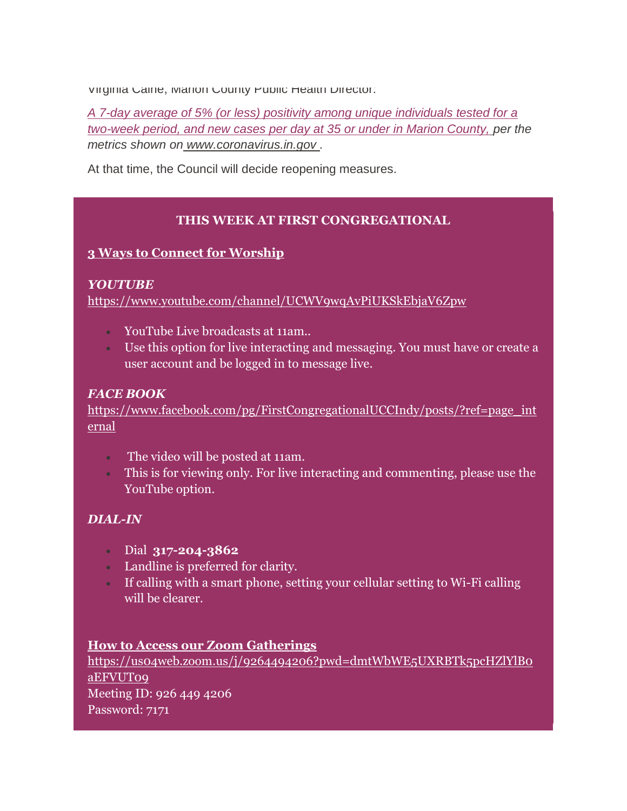Virginia Caine, Marion County Public Health Director:

*A 7-day average of 5% (or less) positivity among unique individuals tested for a two-week period, and new cases per day at 35 or under in Marion County, per the metrics shown on [www.coronavirus.in.gov](http://www.coronavirus.in.gov/) .* 

At that time, the Council will decide reopening measures.

#### **THIS WEEK AT FIRST CONGREGATIONAL**

#### **3 Ways to Connect for Worship**

#### *YOUTUBE*

<https://www.youtube.com/channel/UCWV9wqAvPiUKSkEbjaV6Zpw>

- YouTube Live broadcasts at 11am..
- Use this option for live interacting and messaging. You must have or create a user account and be logged in to message live.

#### *FACE BOOK*

[https://www.facebook.com/pg/FirstCongregationalUCCIndy/posts/?ref=page\\_int](https://www.facebook.com/pg/FirstCongregationalUCCIndy/posts/?ref=page_internal) [ernal](https://www.facebook.com/pg/FirstCongregationalUCCIndy/posts/?ref=page_internal)

- The video will be posted at 11am.
- This is for viewing only. For live interacting and commenting, please use the YouTube option.

#### *DIAL-IN*

- Dial **317-204-3862**
- Landline is preferred for clarity.
- If calling with a smart phone, setting your cellular setting to Wi-Fi calling will be clearer.

#### **How to Access our Zoom Gatherings**

[https://us04web.zoom.us/j/9264494206?pwd=dmtWbWE5UXRBTk5pcHZlYlB0](https://us04web.zoom.us/j/9264494206?pwd=dmtWbWE5UXRBTk5pcHZlYlB0aEFVUT09) [aEFVUT09](https://us04web.zoom.us/j/9264494206?pwd=dmtWbWE5UXRBTk5pcHZlYlB0aEFVUT09) Meeting ID: 926 449 4206 Password: 7171